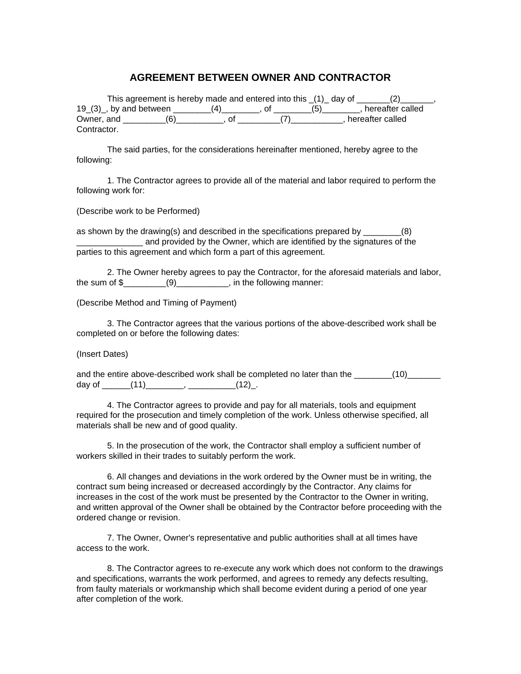## **AGREEMENT BETWEEN OWNER AND CONTRACTOR**

|             | This agreement is hereby made and entered into this (1) day of |  |     |                  |
|-------------|----------------------------------------------------------------|--|-----|------------------|
|             | $19(3)$ , by and between                                       |  | (5) | hereafter called |
| Owner, and  |                                                                |  |     | hereafter called |
| Contractor. |                                                                |  |     |                  |

The said parties, for the considerations hereinafter mentioned, hereby agree to the following:

1. The Contractor agrees to provide all of the material and labor required to perform the following work for:

(Describe work to be Performed)

as shown by the drawing(s) and described in the specifications prepared by  $(8)$ and provided by the Owner, which are identified by the signatures of the parties to this agreement and which form a part of this agreement.

2. The Owner hereby agrees to pay the Contractor, for the aforesaid materials and labor, the sum of  $\$\qquad(9)$   $\qquad$ , in the following manner:

(Describe Method and Timing of Payment)

3. The Contractor agrees that the various portions of the above-described work shall be completed on or before the following dates:

(Insert Dates)

and the entire above-described work shall be completed no later than the \_\_\_\_\_\_\_(10)\_\_\_\_\_\_\_ day of  $(11)$ ,  $(12)$ .

4. The Contractor agrees to provide and pay for all materials, tools and equipment required for the prosecution and timely completion of the work. Unless otherwise specified, all materials shall be new and of good quality.

5. In the prosecution of the work, the Contractor shall employ a sufficient number of workers skilled in their trades to suitably perform the work.

6. All changes and deviations in the work ordered by the Owner must be in writing, the contract sum being increased or decreased accordingly by the Contractor. Any claims for increases in the cost of the work must be presented by the Contractor to the Owner in writing, and written approval of the Owner shall be obtained by the Contractor before proceeding with the ordered change or revision.

7. The Owner, Owner's representative and public authorities shall at all times have access to the work.

8. The Contractor agrees to re-execute any work which does not conform to the drawings and specifications, warrants the work performed, and agrees to remedy any defects resulting, from faulty materials or workmanship which shall become evident during a period of one year after completion of the work.